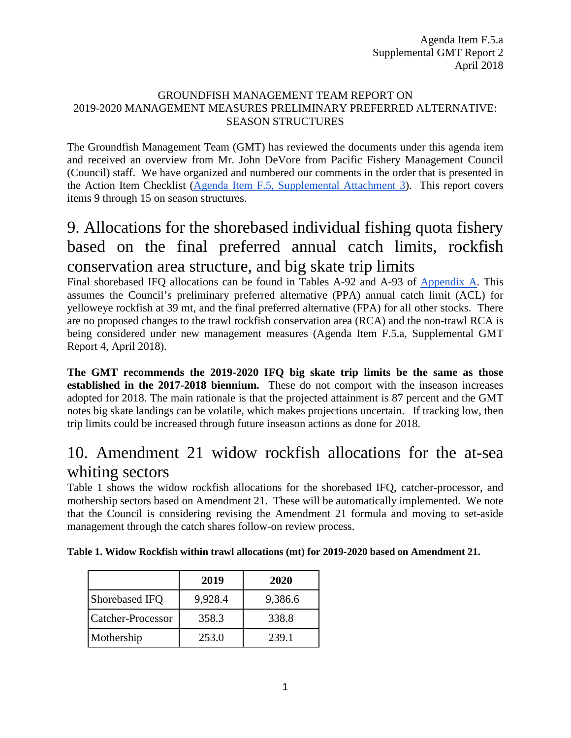#### GROUNDFISH MANAGEMENT TEAM REPORT ON 2019-2020 MANAGEMENT MEASURES PRELIMINARY PREFERRED ALTERNATIVE: SEASON STRUCTURES

The Groundfish Management Team (GMT) has reviewed the documents under this agenda item and received an overview from Mr. John DeVore from Pacific Fishery Management Council (Council) staff. We have organized and numbered our comments in the order that is presented in the Action Item Checklist [\(Agenda Item F.5, Supplemental Attachment 3\)](https://www.pcouncil.org/wp-content/uploads/2018/04/F5_Supp_Att3_FinalChecklist_Apr2018BB.pdf). This report covers items 9 through 15 on season structures.

## 9. Allocations for the shorebased individual fishing quota fishery based on the final preferred annual catch limits, rockfish conservation area structure, and big skate trip limits

Final shorebased IFQ allocations can be found in Tables A-92 and A-93 of [Appendix A.](https://www.pcouncil.org/wp-content/uploads/2018/03/F2_Att3_Appdx_A_Integrated_Alternatives_Analysis_1804_Apr2018BB.pdf) This assumes the Council's preliminary preferred alternative (PPA) annual catch limit (ACL) for yelloweye rockfish at 39 mt, and the final preferred alternative (FPA) for all other stocks. There are no proposed changes to the trawl rockfish conservation area (RCA) and the non-trawl RCA is being considered under new management measures (Agenda Item F.5.a, Supplemental GMT Report 4, April 2018).

**The GMT recommends the 2019-2020 IFQ big skate trip limits be the same as those established in the 2017-2018 biennium.** These do not comport with the inseason increases adopted for 2018. The main rationale is that the projected attainment is 87 percent and the GMT notes big skate landings can be volatile, which makes projections uncertain. If tracking low, then trip limits could be increased through future inseason actions as done for 2018.

### 10. Amendment 21 widow rockfish allocations for the at-sea whiting sectors

[Table 1](#page-0-0) shows the widow rockfish allocations for the shorebased IFQ, catcher-processor, and mothership sectors based on Amendment 21. These will be automatically implemented. We note that the Council is considering revising the Amendment 21 formula and moving to set-aside management through the catch shares follow-on review process.

|                          | 2019    | 2020    |
|--------------------------|---------|---------|
| Shorebased IFQ           | 9,928.4 | 9,386.6 |
| <b>Catcher-Processor</b> | 358.3   | 338.8   |
| Mothership               | 253.0   | 239.1   |

#### <span id="page-0-0"></span>**Table 1. Widow Rockfish within trawl allocations (mt) for 2019-2020 based on Amendment 21.**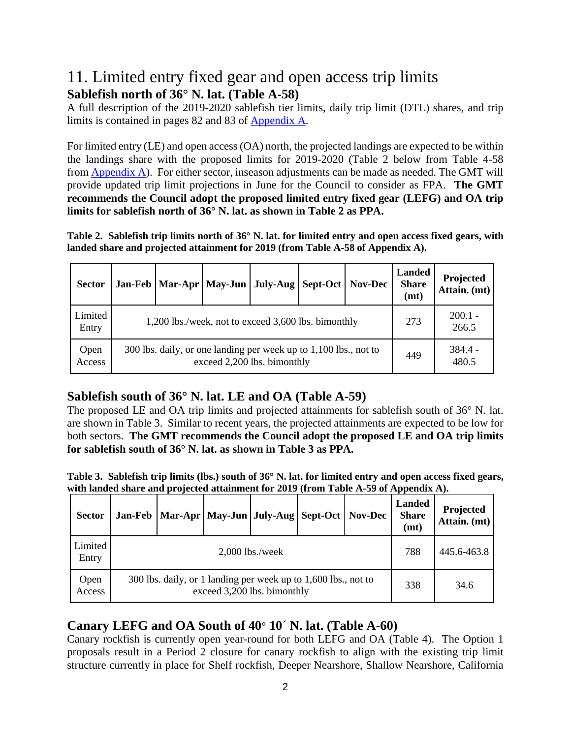### 11. Limited entry fixed gear and open access trip limits **Sablefish north of 36° N. lat. (Table A-58)**

A full description of the 2019-2020 sablefish tier limits, daily trip limit (DTL) shares, and trip limits is contained in pages 82 and 83 of [Appendix A.](https://www.pcouncil.org/wp-content/uploads/2018/03/F2_Att3_Appdx_A_Integrated_Alternatives_Analysis_1804_Apr2018BB.pdf)

For limited entry (LE) and open access (OA) north, the projected landings are expected to be within the landings share with the proposed limits for 2019-2020 [\(Table 2](#page-1-0) below from Table 4-58 from [Appendix A\)](https://www.pcouncil.org/wp-content/uploads/2018/03/F2_Att3_Appdx_A_Integrated_Alternatives_Analysis_1804_Apr2018BB.pdf). For either sector, inseason adjustments can be made as needed. The GMT will provide updated trip limit projections in June for the Council to consider as FPA. **The GMT recommends the Council adopt the proposed limited entry fixed gear (LEFG) and OA trip limits for sablefish north of 36° N. lat. as shown in [Table 2](#page-1-0) as PPA.**

<span id="page-1-0"></span>**Table 2. Sablefish trip limits north of 36° N. lat. for limited entry and open access fixed gears, with landed share and projected attainment for 2019 (from Table A-58 of Appendix A).** 

| <b>Sector</b>    |                                                     |                                                                                                 |     | Jan-Feb   Mar-Apr   May-Jun   July-Aug | <b>Sept-Oct</b> | Nov-Dec | Landed<br><b>Share</b><br>(mt) | Projected<br>Attain. (mt) |
|------------------|-----------------------------------------------------|-------------------------------------------------------------------------------------------------|-----|----------------------------------------|-----------------|---------|--------------------------------|---------------------------|
| Limited<br>Entry | 1,200 lbs./week, not to exceed 3,600 lbs. bimonthly |                                                                                                 |     |                                        |                 |         |                                | $200.1 -$<br>266.5        |
| Open<br>Access   |                                                     | 300 lbs. daily, or one landing per week up to 1,100 lbs., not to<br>exceed 2,200 lbs. bimonthly | 449 | $384.4 -$<br>480.5                     |                 |         |                                |                           |

#### **Sablefish south of 36° N. lat. LE and OA (Table A-59)**

The proposed LE and OA trip limits and projected attainments for sablefish south of 36° N. lat. are shown in [Table 3.](#page-1-1) Similar to recent years, the projected attainments are expected to be low for both sectors. **The GMT recommends the Council adopt the proposed LE and OA trip limits for sablefish south of 36° N. lat. as shown in [Table 3](#page-1-1) as PPA.**

<span id="page-1-1"></span>**Table 3. Sablefish trip limits (lbs.) south of 36° N. lat. for limited entry and open access fixed gears, with landed share and projected attainment for 2019 (from Table A-59 of Appendix A).** 

| <b>Sector</b>    |                   | Jan-Feb   Mar-Apr   May-Jun   July-Aug   Sept-Oct                                             |     |      |  | <b>Nov-Dec</b> | <b>Landed</b><br><b>Share</b><br>(mt) | Projected<br>Attain. (mt) |
|------------------|-------------------|-----------------------------------------------------------------------------------------------|-----|------|--|----------------|---------------------------------------|---------------------------|
| Limited<br>Entry | $2,000$ lbs./week |                                                                                               |     |      |  |                |                                       | 445.6-463.8               |
| Open<br>Access   |                   | 300 lbs. daily, or 1 landing per week up to 1,600 lbs., not to<br>exceed 3,200 lbs. bimonthly | 338 | 34.6 |  |                |                                       |                           |

#### **Canary LEFG and OA South of 40° 10**´ **N. lat. (Table A-60)**

Canary rockfish is currently open year-round for both LEFG and OA [\(Table 4\)](#page-2-0). The Option 1 proposals result in a Period 2 closure for canary rockfish to align with the existing trip limit structure currently in place for Shelf rockfish, Deeper Nearshore, Shallow Nearshore, California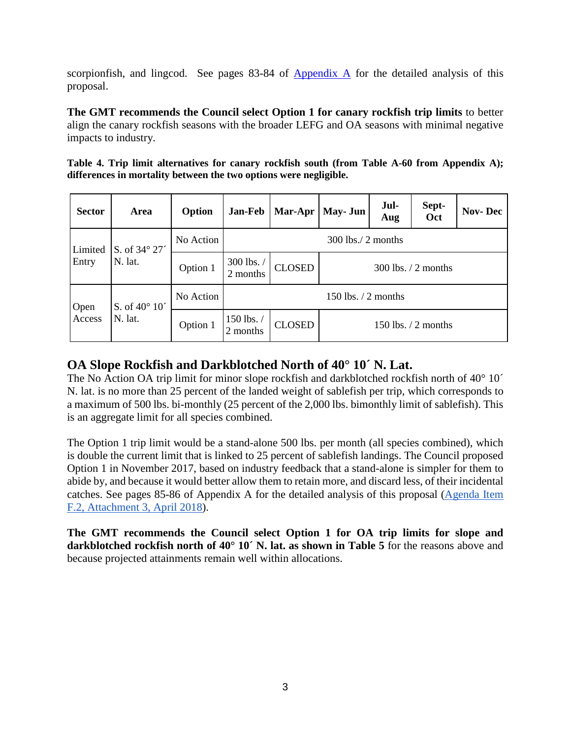scorpionfish, and lingcod. See pages 83-84 of [Appendix A](https://www.pcouncil.org/wp-content/uploads/2018/03/F2_Att3_Appdx_A_Integrated_Alternatives_Analysis_1804_Apr2018BB.pdf) for the detailed analysis of this proposal.

**The GMT recommends the Council select Option 1 for canary rockfish trip limits** to better align the canary rockfish seasons with the broader LEFG and OA seasons with minimal negative impacts to industry.

<span id="page-2-0"></span>

|  | Table 4. Trip limit alternatives for canary rockfish south (from Table A-60 from Appendix A); |  |  |  |  |  |
|--|-----------------------------------------------------------------------------------------------|--|--|--|--|--|
|  | differences in mortality between the two options were negligible.                             |  |  |  |  |  |

| <b>Sector</b>     | <b>Area</b>                      | Option    | <b>Jan-Feb</b>         | Mar-Apr       | May- Jun               | Jul-<br>Aug | Sept-<br>Oct           | <b>Nov-Dec</b> |
|-------------------|----------------------------------|-----------|------------------------|---------------|------------------------|-------------|------------------------|----------------|
| Limited           | S. of 34° 27'                    | No Action | $300$ lbs./ 2 months   |               |                        |             |                        |                |
| Entry             | N. lat.                          | Option 1  | 300 lbs. /<br>2 months | <b>CLOSED</b> | $300$ lbs. $/2$ months |             |                        |                |
| Open              | S. of $40^{\circ}$ $10^{\prime}$ | No Action |                        |               | 150 lbs. $/2$ months   |             |                        |                |
| N. lat.<br>Access |                                  | Option 1  | 150 lbs. /<br>2 months | <b>CLOSED</b> |                        |             | $150$ lbs. $/2$ months |                |

#### **OA Slope Rockfish and Darkblotched North of 40° 10´ N. Lat.**

The No Action OA trip limit for minor slope rockfish and darkblotched rockfish north of 40° 10<sup> $\degree$ </sup> N. lat. is no more than 25 percent of the landed weight of sablefish per trip, which corresponds to a maximum of 500 lbs. bi-monthly (25 percent of the 2,000 lbs. bimonthly limit of sablefish). This is an aggregate limit for all species combined.

The Option 1 trip limit would be a stand-alone 500 lbs. per month (all species combined), which is double the current limit that is linked to 25 percent of sablefish landings. The Council proposed Option 1 in November 2017, based on industry feedback that a stand-alone is simpler for them to abide by, and because it would better allow them to retain more, and discard less, of their incidental catches. See pages 85-86 of Appendix A for the detailed analysis of this proposal [\(Agenda Item](https://www.pcouncil.org/wp-content/uploads/2018/03/F2_Att3_Appdx_A_Integrated_Alternatives_Analysis_1804_Apr2018BB.pdf)  [F.2, Attachment 3, April 2018\)](https://www.pcouncil.org/wp-content/uploads/2018/03/F2_Att3_Appdx_A_Integrated_Alternatives_Analysis_1804_Apr2018BB.pdf).

**The GMT recommends the Council select Option 1 for OA trip limits for slope and darkblotched rockfish north of 40° 10´ N. lat. as shown in [Table 5](#page-3-0)** for the reasons above and because projected attainments remain well within allocations.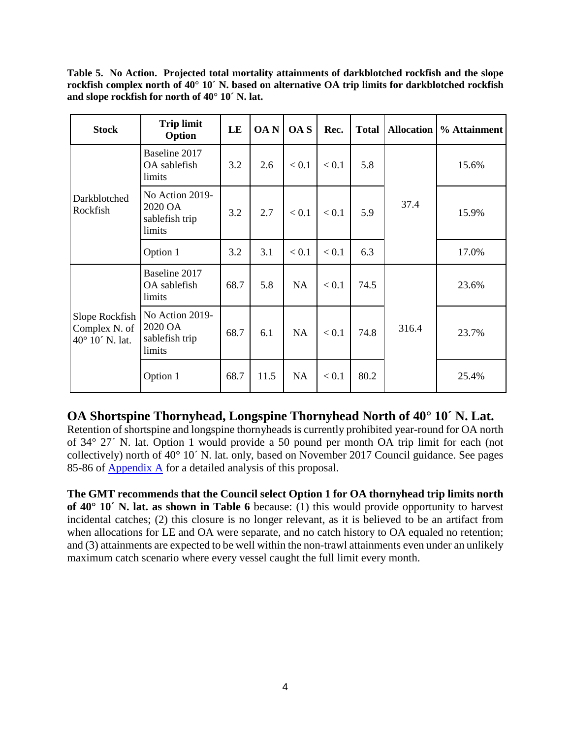<span id="page-3-0"></span>**Table 5. No Action. Projected total mortality attainments of darkblotched rockfish and the slope rockfish complex north of 40° 10´ N. based on alternative OA trip limits for darkblotched rockfish and slope rockfish for north of 40° 10´ N. lat.**

| <b>Stock</b>                                       | <b>Trip limit</b><br>Option                            | LE   | <b>OAN</b> | OA S      | Rec.    | <b>Total</b> | <b>Allocation</b> | % Attainment |
|----------------------------------------------------|--------------------------------------------------------|------|------------|-----------|---------|--------------|-------------------|--------------|
| Darkblotched<br>Rockfish                           | Baseline 2017<br>OA sablefish<br>limits                | 3.2  | 2.6        | < 0.1     | < 0.1   | 5.8          |                   | 15.6%        |
|                                                    | No Action 2019-<br>2020 OA<br>sablefish trip<br>limits | 3.2  | 2.7        | < 0.1     | < 0.1   | 5.9          | 37.4              | 15.9%        |
|                                                    | Option 1                                               | 3.2  | 3.1        | < 0.1     | < 0.1   | 6.3          |                   | 17.0%        |
| Slope Rockfish<br>Complex N. of<br>40° 10' N. lat. | Baseline 2017<br>OA sablefish<br>limits                | 68.7 | 5.8        | <b>NA</b> | < 0.1   | 74.5         |                   | 23.6%        |
|                                                    | No Action 2019-<br>2020 OA<br>sablefish trip<br>limits | 68.7 | 6.1        | <b>NA</b> | $< 0.1$ | 74.8         | 316.4             | 23.7%        |
|                                                    | Option 1                                               | 68.7 | 11.5       | <b>NA</b> | < 0.1   | 80.2         |                   | 25.4%        |

#### **OA Shortspine Thornyhead, Longspine Thornyhead North of 40° 10´ N. Lat.**

Retention of shortspine and longspine thornyheads is currently prohibited year-round for OA north of 34° 27´ N. lat. Option 1 would provide a 50 pound per month OA trip limit for each (not collectively) north of 40° 10´ N. lat. only, based on November 2017 Council guidance. See pages 85-86 of **Appendix A** for a detailed analysis of this proposal.

**The GMT recommends that the Council select Option 1 for OA thornyhead trip limits north of 40° 10´ N. lat. as shown in [Table 6](#page-4-0)** because: (1) this would provide opportunity to harvest incidental catches; (2) this closure is no longer relevant, as it is believed to be an artifact from when allocations for LE and OA were separate, and no catch history to OA equaled no retention; and (3) attainments are expected to be well within the non-trawl attainments even under an unlikely maximum catch scenario where every vessel caught the full limit every month.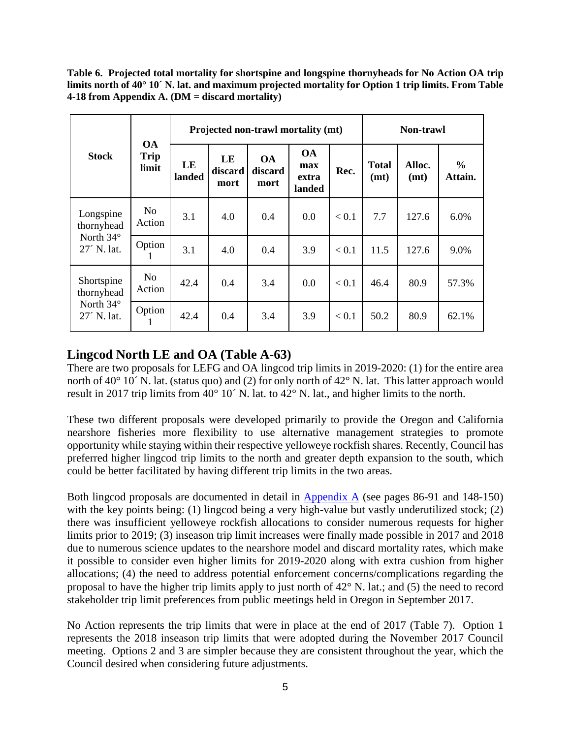<span id="page-4-0"></span>**Table 6. Projected total mortality for shortspine and longspine thornyheads for No Action OA trip limits north of 40° 10´ N. lat. and maximum projected mortality for Option 1 trip limits. From Table 4-18 from Appendix A. (DM = discard mortality)**

|                                   | <b>OA</b><br><b>Trip</b><br>limit |              |                       | Projected non-trawl mortality (mt) | Non-trawl                           |       |                      |                |                          |
|-----------------------------------|-----------------------------------|--------------|-----------------------|------------------------------------|-------------------------------------|-------|----------------------|----------------|--------------------------|
| <b>Stock</b>                      |                                   | LE<br>landed | LE<br>discard<br>mort | <b>OA</b><br>discard<br>mort       | <b>OA</b><br>max<br>extra<br>landed | Rec.  | <b>Total</b><br>(mt) | Alloc.<br>(mt) | $\frac{0}{0}$<br>Attain. |
| Longspine<br>thornyhead           | No.<br>Action                     | 3.1          | 4.0                   | 0.4                                | 0.0                                 | < 0.1 | 7.7                  | 127.6          | 6.0%                     |
| North $34^\circ$<br>$27'$ N. lat. | Option<br>1                       | 3.1          | 4.0                   | 0.4                                | 3.9                                 | < 0.1 | 11.5                 | 127.6          | 9.0%                     |
| Shortspine<br>thornyhead          | N <sub>0</sub><br>Action          | 42.4         | 0.4                   | 3.4                                | 0.0                                 | < 0.1 | 46.4                 | 80.9           | 57.3%                    |
| North 34°<br>27' N. lat.          | Option<br>1                       | 42.4         | 0.4                   | 3.4                                | 3.9                                 | < 0.1 | 50.2                 | 80.9           | 62.1%                    |

#### **Lingcod North LE and OA (Table A-63)**

There are two proposals for LEFG and OA lingcod trip limits in 2019-2020: (1) for the entire area north of 40 $^{\circ}$  10<sup> $\cdot$ </sup> N. lat. (status quo) and (2) for only north of 42 $^{\circ}$  N. lat. This latter approach would result in 2017 trip limits from 40° 10´ N. lat. to 42° N. lat., and higher limits to the north.

These two different proposals were developed primarily to provide the Oregon and California nearshore fisheries more flexibility to use alternative management strategies to promote opportunity while staying within their respective yelloweye rockfish shares. Recently, Council has preferred higher lingcod trip limits to the north and greater depth expansion to the south, which could be better facilitated by having different trip limits in the two areas.

Both lingcod proposals are documented in detail in [Appendix A](https://www.pcouncil.org/wp-content/uploads/2018/03/F2_Att3_Appdx_A_Integrated_Alternatives_Analysis_1804_Apr2018BB.pdf) (see pages 86-91 and 148-150) with the key points being: (1) lingcod being a very high-value but vastly underutilized stock; (2) there was insufficient yelloweye rockfish allocations to consider numerous requests for higher limits prior to 2019; (3) inseason trip limit increases were finally made possible in 2017 and 2018 due to numerous science updates to the nearshore model and discard mortality rates, which make it possible to consider even higher limits for 2019-2020 along with extra cushion from higher allocations; (4) the need to address potential enforcement concerns/complications regarding the proposal to have the higher trip limits apply to just north of 42° N. lat.; and (5) the need to record stakeholder trip limit preferences from public meetings held in Oregon in September 2017.

No Action represents the trip limits that were in place at the end of 2017 [\(Table 7\)](#page-5-0). Option 1 represents the 2018 inseason trip limits that were adopted during the November 2017 Council meeting. Options 2 and 3 are simpler because they are consistent throughout the year, which the Council desired when considering future adjustments.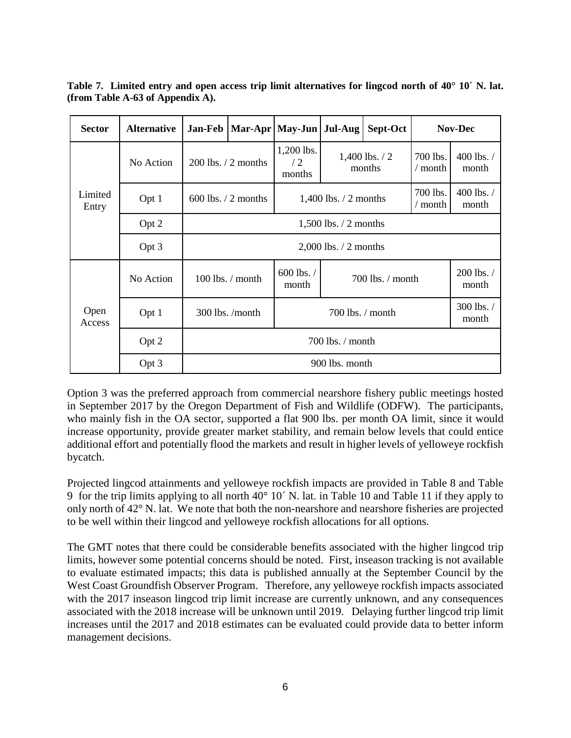| <b>Sector</b>    | <b>Alternative</b> | <b>Jan-Feb</b>         | Mar-Apr   May-Jun   Jul-Aug<br>Sept-Oct |                            |                             | <b>Nov-Dec</b>      |                                                  |                    |  |
|------------------|--------------------|------------------------|-----------------------------------------|----------------------------|-----------------------------|---------------------|--------------------------------------------------|--------------------|--|
|                  | No Action          | $200$ lbs. $/2$ months |                                         | 1,200 lbs.<br>/2<br>months | $1,400$ lbs. $/2$<br>months |                     | 700 lbs.<br>/ month                              | 400 lbs./<br>month |  |
| Limited<br>Entry | Opt 1              | $600$ lbs. $/2$ months |                                         |                            | $1,400$ lbs. $/2$ months    | 700 lbs.<br>/ month | $400$ lbs. $/$<br>month                          |                    |  |
|                  | Opt 2              |                        | $1,500$ lbs. $/2$ months                |                            |                             |                     |                                                  |                    |  |
|                  | Opt 3              |                        |                                         |                            | $2,000$ lbs. $/2$ months    |                     |                                                  |                    |  |
|                  | No Action          |                        | $100$ lbs. $/$ month                    | 600 lbs. /<br>month        |                             |                     | 200 lbs. /<br>$700$ lbs. $\prime$ month<br>month |                    |  |
| Open<br>Access   | Opt 1              |                        | $300$ lbs. /month<br>$700$ lbs. / month |                            |                             |                     |                                                  | 300 lbs./<br>month |  |
|                  | Opt 2              | $700$ lbs. / month     |                                         |                            |                             |                     |                                                  |                    |  |
|                  | Opt 3              |                        |                                         |                            | 900 lbs. month              |                     |                                                  |                    |  |

<span id="page-5-0"></span>**Table 7. Limited entry and open access trip limit alternatives for lingcod north of 40° 10´ N. lat. (from Table A-63 of Appendix A).**

Option 3 was the preferred approach from commercial nearshore fishery public meetings hosted in September 2017 by the Oregon Department of Fish and Wildlife (ODFW). The participants, who mainly fish in the OA sector, supported a flat 900 lbs. per month OA limit, since it would increase opportunity, provide greater market stability, and remain below levels that could entice additional effort and potentially flood the markets and result in higher levels of yelloweye rockfish bycatch.

Projected lingcod attainments and yelloweye rockfish impacts are provided in [Table 8](#page-6-0) and [Table](#page-6-1)  [9](#page-6-1) for the trip limits applying to all north 40° 10´ N. lat. in [Table 10](#page-7-0) and [Table 11](#page-7-1) if they apply to only north of 42° N. lat. We note that both the non-nearshore and nearshore fisheries are projected to be well within their lingcod and yelloweye rockfish allocations for all options.

The GMT notes that there could be considerable benefits associated with the higher lingcod trip limits, however some potential concerns should be noted. First, inseason tracking is not available to evaluate estimated impacts; this data is published annually at the September Council by the West Coast Groundfish Observer Program. Therefore, any yelloweye rockfish impacts associated with the 2017 inseason lingcod trip limit increase are currently unknown, and any consequences associated with the 2018 increase will be unknown until 2019. Delaying further lingcod trip limit increases until the 2017 and 2018 estimates can be evaluated could provide data to better inform management decisions.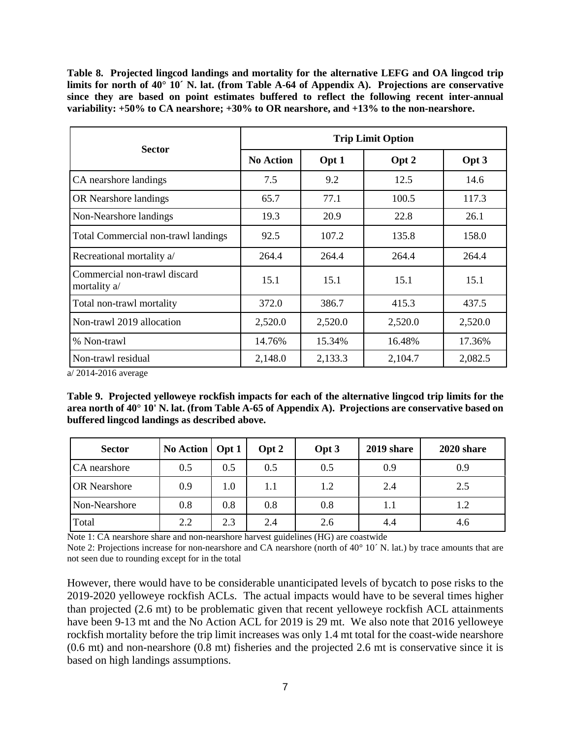<span id="page-6-0"></span>**Table 8. Projected lingcod landings and mortality for the alternative LEFG and OA lingcod trip limits for north of 40° 10´ N. lat. (from Table A-64 of Appendix A). Projections are conservative since they are based on point estimates buffered to reflect the following recent inter-annual variability: +50% to CA nearshore; +30% to OR nearshore, and +13% to the non-nearshore.** 

|                                              | <b>Trip Limit Option</b> |         |         |         |  |  |  |  |
|----------------------------------------------|--------------------------|---------|---------|---------|--|--|--|--|
| <b>Sector</b>                                | <b>No Action</b>         | Opt 1   | Opt 2   | Opt 3   |  |  |  |  |
| CA nearshore landings                        | 7.5                      | 9.2     | 12.5    | 14.6    |  |  |  |  |
| OR Nearshore landings                        | 65.7                     | 77.1    | 100.5   | 117.3   |  |  |  |  |
| Non-Nearshore landings                       | 19.3                     | 20.9    | 22.8    | 26.1    |  |  |  |  |
| Total Commercial non-trawl landings          | 92.5                     | 107.2   | 135.8   | 158.0   |  |  |  |  |
| Recreational mortality a/                    | 264.4                    | 264.4   | 264.4   | 264.4   |  |  |  |  |
| Commercial non-trawl discard<br>mortality a/ | 15.1                     | 15.1    | 15.1    | 15.1    |  |  |  |  |
| Total non-trawl mortality                    | 372.0                    | 386.7   | 415.3   | 437.5   |  |  |  |  |
| Non-trawl 2019 allocation                    | 2,520.0                  | 2,520.0 | 2,520.0 | 2,520.0 |  |  |  |  |
| % Non-trawl                                  | 14.76%                   | 15.34%  | 16.48%  | 17.36%  |  |  |  |  |
| Non-trawl residual                           | 2,148.0                  | 2,133.3 | 2,104.7 | 2,082.5 |  |  |  |  |

a/ 2014-2016 average

<span id="page-6-1"></span>**Table 9. Projected yelloweye rockfish impacts for each of the alternative lingcod trip limits for the area north of 40° 10' N. lat. (from Table A-65 of Appendix A). Projections are conservative based on buffered lingcod landings as described above.**

| <b>Sector</b>       | <b>No Action</b> | $\int$ Opt 1 | Opt 2 | Opt 3 | 2019 share | 2020 share |
|---------------------|------------------|--------------|-------|-------|------------|------------|
| CA nearshore        | 0.5              | 0.5          | 0.5   | 0.5   | 0.9        | 0.9        |
| <b>OR</b> Nearshore | 0.9              | 1.0          | 1.1   | 1.2   | 2.4        | 2.5        |
| Non-Nearshore       | 0.8              | 0.8          | 0.8   | 0.8   | 1.1        | 1.2        |
| Total               | 2.2              | 2.3          | 2.4   | 2.6   | 4.4        | 4.6        |

Note 1: CA nearshore share and non-nearshore harvest guidelines (HG) are coastwide

Note 2: Projections increase for non-nearshore and CA nearshore (north of 40° 10′ N. lat.) by trace amounts that are not seen due to rounding except for in the total

However, there would have to be considerable unanticipated levels of bycatch to pose risks to the 2019-2020 yelloweye rockfish ACLs. The actual impacts would have to be several times higher than projected (2.6 mt) to be problematic given that recent yelloweye rockfish ACL attainments have been 9-13 mt and the No Action ACL for 2019 is 29 mt. We also note that 2016 yelloweye rockfish mortality before the trip limit increases was only 1.4 mt total for the coast-wide nearshore (0.6 mt) and non-nearshore (0.8 mt) fisheries and the projected 2.6 mt is conservative since it is based on high landings assumptions.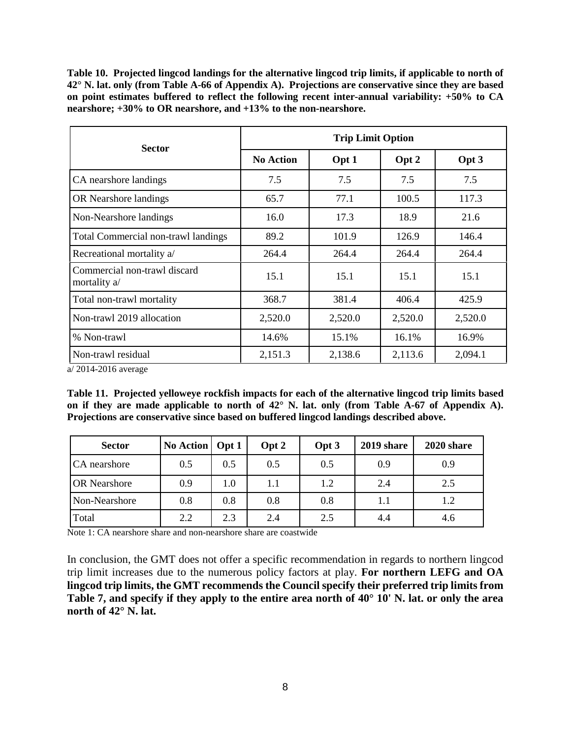<span id="page-7-0"></span>**Table 10. Projected lingcod landings for the alternative lingcod trip limits, if applicable to north of 42° N. lat. only (from Table A-66 of Appendix A). Projections are conservative since they are based on point estimates buffered to reflect the following recent inter-annual variability: +50% to CA nearshore; +30% to OR nearshore, and +13% to the non-nearshore.** 

| <b>Sector</b>                                |                  | <b>Trip Limit Option</b> |         |         |  |  |  |  |  |
|----------------------------------------------|------------------|--------------------------|---------|---------|--|--|--|--|--|
|                                              | <b>No Action</b> | Opt 1                    | Opt 2   | Opt 3   |  |  |  |  |  |
| CA nearshore landings                        | 7.5              | 7.5                      | 7.5     | 7.5     |  |  |  |  |  |
| OR Nearshore landings                        | 65.7             | 77.1                     | 100.5   | 117.3   |  |  |  |  |  |
| Non-Nearshore landings                       | 16.0             | 17.3                     | 18.9    | 21.6    |  |  |  |  |  |
| Total Commercial non-trawl landings          | 89.2             | 101.9                    | 126.9   | 146.4   |  |  |  |  |  |
| Recreational mortality a/                    | 264.4            | 264.4                    | 264.4   | 264.4   |  |  |  |  |  |
| Commercial non-trawl discard<br>mortality a/ | 15.1             | 15.1                     | 15.1    | 15.1    |  |  |  |  |  |
| Total non-trawl mortality                    | 368.7            | 381.4                    | 406.4   | 425.9   |  |  |  |  |  |
| Non-trawl 2019 allocation                    | 2,520.0          | 2,520.0                  | 2,520.0 | 2,520.0 |  |  |  |  |  |
| % Non-trawl                                  | 14.6%            | 15.1%                    | 16.1%   | 16.9%   |  |  |  |  |  |
| Non-trawl residual<br>100110012              | 2,151.3          | 2,138.6                  | 2,113.6 | 2,094.1 |  |  |  |  |  |

a/ 2014-2016 average

<span id="page-7-1"></span>**Table 11. Projected yelloweye rockfish impacts for each of the alternative lingcod trip limits based on if they are made applicable to north of 42° N. lat. only (from Table A-67 of Appendix A). Projections are conservative since based on buffered lingcod landings described above.**

| <b>Sector</b>       | No Action   Opt 1 |     | Opt 2 | Opt 3 | 2019 share | 2020 share |
|---------------------|-------------------|-----|-------|-------|------------|------------|
| CA nearshore        | 0.5               | 0.5 | 0.5   | 0.5   | 0.9        | 0.9        |
| <b>OR</b> Nearshore | 0.9               | 1.0 | 1.1   | 1.2   | 2.4        | 2.5        |
| Non-Nearshore       | 0.8               | 0.8 | 0.8   | 0.8   | 1.1        | 1.2        |
| Total               | 2.2               | 2.3 | 2.4   | 2.5   | 4.4        | 4.6        |

Note 1: CA nearshore share and non-nearshore share are coastwide

In conclusion, the GMT does not offer a specific recommendation in regards to northern lingcod trip limit increases due to the numerous policy factors at play. **For northern LEFG and OA lingcod trip limits, the GMT recommends the Council specify their preferred trip limits from [Table 7,](#page-5-0) and specify if they apply to the entire area north of 40° 10' N. lat. or only the area north of 42° N. lat.**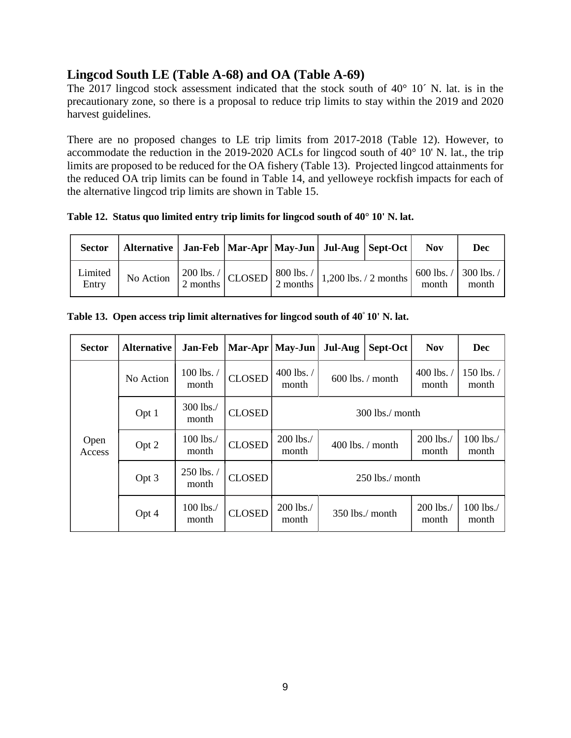#### **Lingcod South LE (Table A-68) and OA (Table A-69)**

The 2017 lingcod stock assessment indicated that the stock south of 40° 10´ N. lat. is in the precautionary zone, so there is a proposal to reduce trip limits to stay within the 2019 and 2020 harvest guidelines.

There are no proposed changes to LE trip limits from 2017-2018 [\(Table 12\)](#page-8-0). However, to accommodate the reduction in the 2019-2020 ACLs for lingcod south of 40° 10' N. lat., the trip limits are proposed to be reduced for the OA fishery [\(Table 13\)](#page-8-1). Projected lingcod attainments for the reduced OA trip limits can be found in [Table 14,](#page-9-0) and yelloweye rockfish impacts for each of the alternative lingcod trip limits are shown in [Table 15.](#page-9-1)

<span id="page-8-0"></span>**Table 12. Status quo limited entry trip limits for lingcod south of 40° 10' N. lat.**

| <b>Sector</b>    | Alternative   Jan-Feb   Mar-Apr   May-Jun   Jul-Aug   Sept-Oct |  |                                                                                                                                                |  | <b>Nov</b>                                                         | Dec   |
|------------------|----------------------------------------------------------------|--|------------------------------------------------------------------------------------------------------------------------------------------------|--|--------------------------------------------------------------------|-------|
| Limited<br>Entry | No Action                                                      |  | $\left[\frac{200 \text{ lbs.}}{2 \text{ months}}\right]$ CLOSED $\left[\frac{800 \text{ lbs.}}{2 \text{ months}}\right]$ 1,200 lbs. / 2 months |  | $\frac{1}{2}$ 600 lbs. $\frac{1}{300}$ lbs. $\frac{1}{2}$<br>month | month |

<span id="page-8-1"></span>

|  |  |  | Table 13. Open access trip limit alternatives for lingcod south of 40° 10' N. lat. |  |  |  |
|--|--|--|------------------------------------------------------------------------------------|--|--|--|
|--|--|--|------------------------------------------------------------------------------------|--|--|--|

| <b>Sector</b>  | <b>Alternative</b> | Jan-Feb                 |               | $Mar-Apr$   May-Jun   | Jul-Aug            | Sept-Oct           | <b>Nov</b>                      | <b>Dec</b>          |
|----------------|--------------------|-------------------------|---------------|-----------------------|--------------------|--------------------|---------------------------------|---------------------|
|                | No Action          | 100 lbs./<br>month      | <b>CLOSED</b> | 400 lbs. $/$<br>month | $600$ lbs. / month |                    | 400 lbs. $\frac{1}{2}$<br>month | 150 lbs. /<br>month |
|                | Opt 1              | 300 lbs./<br>month      | <b>CLOSED</b> | $300$ lbs./ month     |                    |                    |                                 |                     |
| Open<br>Access | Opt 2              | 100 lbs./<br>month      | <b>CLOSED</b> | 200 lbs./<br>month    |                    | $400$ lbs. / month | 200 lbs./<br>month              | 100 lbs./<br>month  |
|                | Opt 3              | $250$ lbs. $/$<br>month | <b>CLOSED</b> | $250$ lbs./ month     |                    |                    |                                 |                     |
|                | Opt 4              | 100 lbs./<br>month      | <b>CLOSED</b> | 200 lbs./<br>month    |                    | $350$ lbs./ month  | 200 lbs./<br>month              | 100 lbs./<br>month  |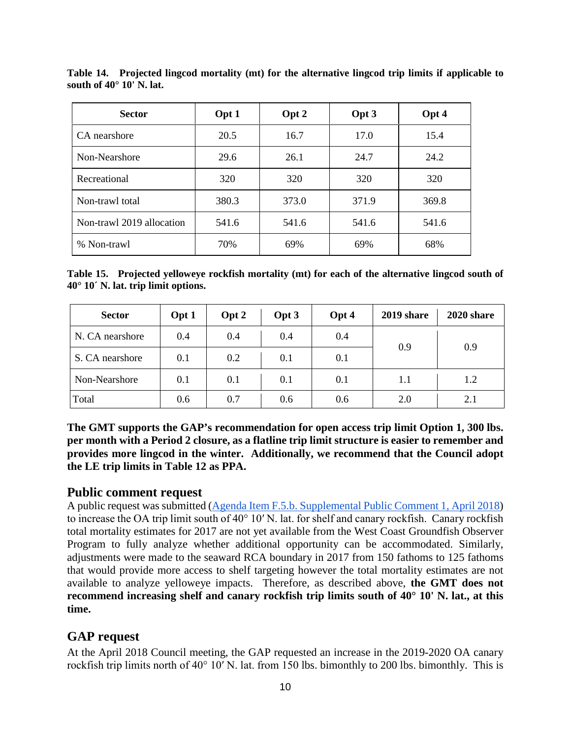| <b>Sector</b>             | Opt 1 | Opt 2 | Opt 3 | Opt 4 |
|---------------------------|-------|-------|-------|-------|
| CA nearshore              | 20.5  | 16.7  | 17.0  | 15.4  |
| Non-Nearshore             | 29.6  | 26.1  | 24.7  | 24.2  |
| Recreational              | 320   | 320   | 320   | 320   |
| Non-trawl total           | 380.3 | 373.0 | 371.9 | 369.8 |
| Non-trawl 2019 allocation | 541.6 | 541.6 | 541.6 | 541.6 |
| % Non-trawl               | 70%   | 69%   | 69%   | 68%   |

<span id="page-9-0"></span>**Table 14. Projected lingcod mortality (mt) for the alternative lingcod trip limits if applicable to south of 40° 10' N. lat.**

<span id="page-9-1"></span>**Table 15. Projected yelloweye rockfish mortality (mt) for each of the alternative lingcod south of 40° 10´ N. lat. trip limit options.**

| <b>Sector</b>   | Opt 1 | Opt 2 | Opt 3 | Opt 4 | 2019 share | 2020 share |  |
|-----------------|-------|-------|-------|-------|------------|------------|--|
| N. CA nearshore | 0.4   | 0.4   | 0.4   | 0.4   | 0.9        |            |  |
| S. CA nearshore | 0.1   | 0.2   | 0.1   | 0.1   |            | 0.9        |  |
| Non-Nearshore   | 0.1   | 0.1   | 0.1   | 0.1   | 1.1        | 1.2        |  |
| Total           | 0.6   | 0.7   | 0.6   | 0.6   | 2.0        | 2.1        |  |

**The GMT supports the GAP's recommendation for open access trip limit Option 1, 300 lbs. per month with a Period 2 closure, as a flatline trip limit structure is easier to remember and provides more lingcod in the winter. Additionally, we recommend that the Council adopt the LE trip limits in [Table 12](#page-8-0) as PPA.**

#### **Public comment request**

A public request was submitted [\(Agenda Item F.5.b. Supplemental Public Comment 1, April 2018\)](https://www.pcouncil.org/wp-content/uploads/2018/04/F5b_Supp_Public_Comment1_Apr2018BB.pdf) to increase the OA trip limit south of 40° 10′ N. lat. for shelf and canary rockfish. Canary rockfish total mortality estimates for 2017 are not yet available from the West Coast Groundfish Observer Program to fully analyze whether additional opportunity can be accommodated. Similarly, adjustments were made to the seaward RCA boundary in 2017 from 150 fathoms to 125 fathoms that would provide more access to shelf targeting however the total mortality estimates are not available to analyze yelloweye impacts. Therefore, as described above, **the GMT does not recommend increasing shelf and canary rockfish trip limits south of 40° 10' N. lat., at this time.**

#### **GAP request**

At the April 2018 Council meeting, the GAP requested an increase in the 2019-2020 OA canary rockfish trip limits north of 40° 10′ N. lat. from 150 lbs. bimonthly to 200 lbs. bimonthly. This is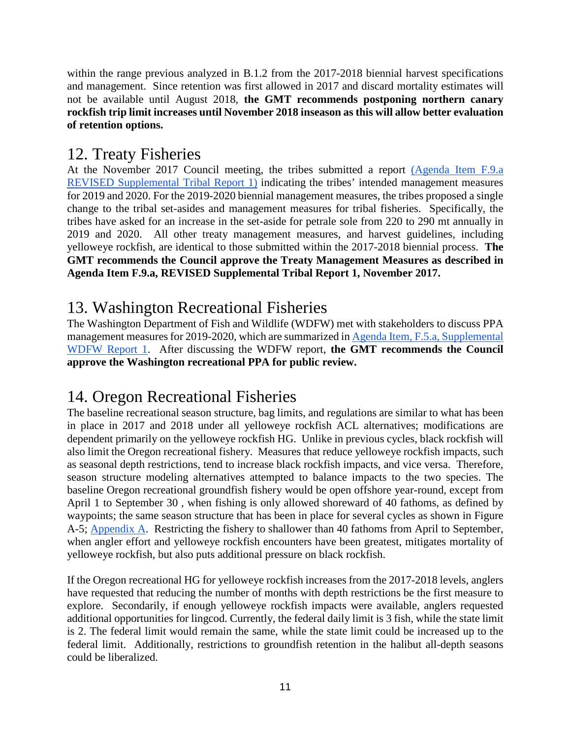within the range previous analyzed in B.1.2 from the 2017-2018 biennial harvest specifications and management. Since retention was first allowed in 2017 and discard mortality estimates will not be available until August 2018, **the GMT recommends postponing northern canary rockfish trip limit increases until November 2018 inseason as this will allow better evaluation of retention options.** 

### 12. Treaty Fisheries

At the November 2017 Council meeting, the tribes submitted a report [\(Agenda Item F.9.a](https://www.pcouncil.org/wp-content/uploads/2017/11/F9a_REVISED_Sup_Tribal_Rpt1_NOV2017BB.pdf)  [REVISED Supplemental Tribal Report 1\)](https://www.pcouncil.org/wp-content/uploads/2017/11/F9a_REVISED_Sup_Tribal_Rpt1_NOV2017BB.pdf) indicating the tribes' intended management measures for 2019 and 2020. For the 2019-2020 biennial management measures, the tribes proposed a single change to the tribal set-asides and management measures for tribal fisheries. Specifically, the tribes have asked for an increase in the set-aside for petrale sole from 220 to 290 mt annually in 2019 and 2020. All other treaty management measures, and harvest guidelines, including yelloweye rockfish, are identical to those submitted within the 2017-2018 biennial process. **The GMT recommends the Council approve the Treaty Management Measures as described in Agenda Item F.9.a, REVISED Supplemental Tribal Report 1, November 2017.**

## 13. Washington Recreational Fisheries

The Washington Department of Fish and Wildlife (WDFW) met with stakeholders to discuss PPA management measures for 2019-2020, which are summarized i[n Agenda Item, F.5.a, Supplemental](https://www.pcouncil.org/wp-content/uploads/2018/04/F5a_Supp_WDFW_Rpt1_Final_Apr2018BB.pdf)  [WDFW Report 1.](https://www.pcouncil.org/wp-content/uploads/2018/04/F5a_Supp_WDFW_Rpt1_Final_Apr2018BB.pdf) After discussing the WDFW report, **the GMT recommends the Council approve the Washington recreational PPA for public review.** 

# 14. Oregon Recreational Fisheries

The baseline recreational season structure, bag limits, and regulations are similar to what has been in place in 2017 and 2018 under all yelloweye rockfish ACL alternatives; modifications are dependent primarily on the yelloweye rockfish HG. Unlike in previous cycles, black rockfish will also limit the Oregon recreational fishery. Measures that reduce yelloweye rockfish impacts, such as seasonal depth restrictions, tend to increase black rockfish impacts, and vice versa. Therefore, season structure modeling alternatives attempted to balance impacts to the two species. The baseline Oregon recreational groundfish fishery would be open offshore year-round, except from April 1 to September 30 , when fishing is only allowed shoreward of 40 fathoms, as defined by waypoints; the same season structure that has been in place for several cycles as shown in Figure A-5; [Appendix A.](https://www.pcouncil.org/wp-content/uploads/2018/03/F2_Att3_Appdx_A_Integrated_Alternatives_Analysis_1804_Apr2018BB.pdf) Restricting the fishery to shallower than 40 fathoms from April to September, when angler effort and yelloweye rockfish encounters have been greatest, mitigates mortality of yelloweye rockfish, but also puts additional pressure on black rockfish.

If the Oregon recreational HG for yelloweye rockfish increases from the 2017-2018 levels, anglers have requested that reducing the number of months with depth restrictions be the first measure to explore. Secondarily, if enough yelloweye rockfish impacts were available, anglers requested additional opportunities for lingcod. Currently, the federal daily limit is 3 fish, while the state limit is 2. The federal limit would remain the same, while the state limit could be increased up to the federal limit. Additionally, restrictions to groundfish retention in the halibut all-depth seasons could be liberalized.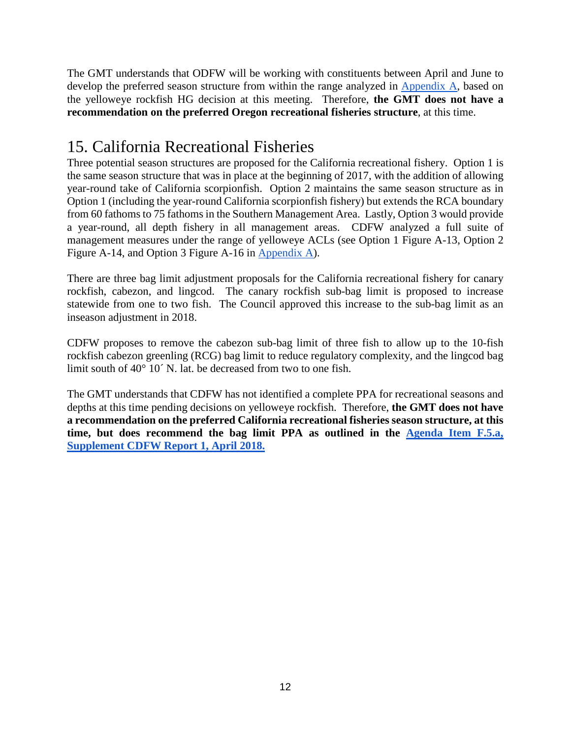The GMT understands that ODFW will be working with constituents between April and June to develop the preferred season structure from within the range analyzed in [Appendix A,](https://www.pcouncil.org/wp-content/uploads/2018/03/F2_Att3_Appdx_A_Integrated_Alternatives_Analysis_1804_Apr2018BB.pdf) based on the yelloweye rockfish HG decision at this meeting. Therefore, **the GMT does not have a recommendation on the preferred Oregon recreational fisheries structure**, at this time.

# 15. California Recreational Fisheries

Three potential season structures are proposed for the California recreational fishery. Option 1 is the same season structure that was in place at the beginning of 2017, with the addition of allowing year-round take of California scorpionfish. Option 2 maintains the same season structure as in Option 1 (including the year-round California scorpionfish fishery) but extends the RCA boundary from 60 fathoms to 75 fathoms in the Southern Management Area. Lastly, Option 3 would provide a year-round, all depth fishery in all management areas. CDFW analyzed a full suite of management measures under the range of yelloweye ACLs (see Option 1 Figure A-13, Option 2 Figure A-14, and Option 3 Figure A-16 in [Appendix A\)](https://www.pcouncil.org/wp-content/uploads/2018/03/F2_Att3_Appdx_A_Integrated_Alternatives_Analysis_1804_Apr2018BB.pdf).

There are three bag limit adjustment proposals for the California recreational fishery for canary rockfish, cabezon, and lingcod. The canary rockfish sub-bag limit is proposed to increase statewide from one to two fish. The Council approved this increase to the sub-bag limit as an inseason adjustment in 2018.

CDFW proposes to remove the cabezon sub-bag limit of three fish to allow up to the 10-fish rockfish cabezon greenling (RCG) bag limit to reduce regulatory complexity, and the lingcod bag limit south of 40° 10´ N. lat. be decreased from two to one fish.

The GMT understands that CDFW has not identified a complete PPA for recreational seasons and depths at this time pending decisions on yelloweye rockfish. Therefore, **the GMT does not have a recommendation on the preferred California recreational fisheries season structure, at this time, but does recommend the bag limit PPA as outlined in the [Agenda Item](https://www.pcouncil.org/wp-content/uploads/2018/04/F5a_Supp_CDFW_Rpt1_Apr2018BB.pdf) F.5.a, [Supplement CDFW Report 1, April 2018.](https://www.pcouncil.org/wp-content/uploads/2018/04/F5a_Supp_CDFW_Rpt1_Apr2018BB.pdf)**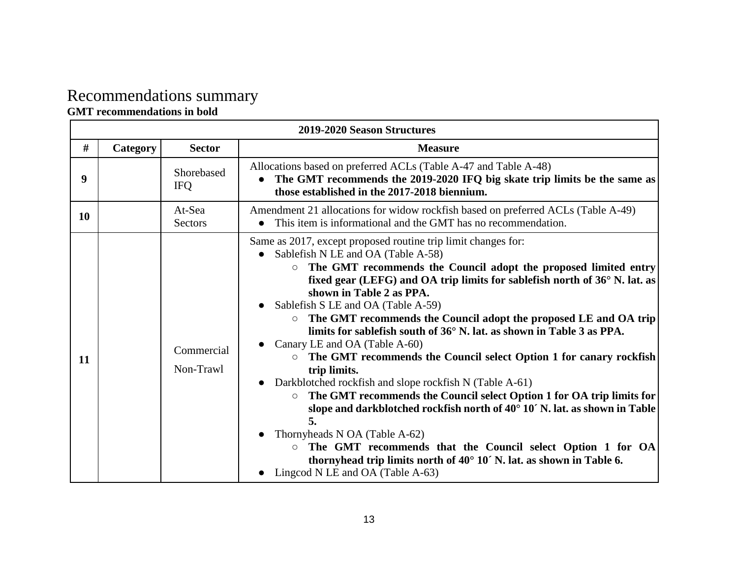# Recommendations summary

#### **GMT recommendations in bold**

|    | 2019-2020 Season Structures |                          |                                                                                                                                                                                                                                                                                                                                                                                                                                                                                                                                                                                                                                                                                                                                                                                                                                                                                                                                                                                                                                                                                            |  |  |  |  |  |
|----|-----------------------------|--------------------------|--------------------------------------------------------------------------------------------------------------------------------------------------------------------------------------------------------------------------------------------------------------------------------------------------------------------------------------------------------------------------------------------------------------------------------------------------------------------------------------------------------------------------------------------------------------------------------------------------------------------------------------------------------------------------------------------------------------------------------------------------------------------------------------------------------------------------------------------------------------------------------------------------------------------------------------------------------------------------------------------------------------------------------------------------------------------------------------------|--|--|--|--|--|
| #  | Category                    | <b>Sector</b>            | <b>Measure</b>                                                                                                                                                                                                                                                                                                                                                                                                                                                                                                                                                                                                                                                                                                                                                                                                                                                                                                                                                                                                                                                                             |  |  |  |  |  |
| 9  |                             | Shorebased<br><b>IFQ</b> | Allocations based on preferred ACLs (Table A-47 and Table A-48)<br>The GMT recommends the 2019-2020 IFQ big skate trip limits be the same as<br>those established in the 2017-2018 biennium.                                                                                                                                                                                                                                                                                                                                                                                                                                                                                                                                                                                                                                                                                                                                                                                                                                                                                               |  |  |  |  |  |
| 10 |                             | At-Sea<br>Sectors        | Amendment 21 allocations for widow rockfish based on preferred ACLs (Table A-49)<br>This item is informational and the GMT has no recommendation.                                                                                                                                                                                                                                                                                                                                                                                                                                                                                                                                                                                                                                                                                                                                                                                                                                                                                                                                          |  |  |  |  |  |
| 11 |                             | Commercial<br>Non-Trawl  | Same as 2017, except proposed routine trip limit changes for:<br>Sablefish N LE and OA (Table A-58)<br>The GMT recommends the Council adopt the proposed limited entry<br>$\circ$<br>fixed gear (LEFG) and OA trip limits for sablefish north of 36° N. lat. as<br>shown in Table 2 as PPA.<br>Sablefish S LE and OA (Table A-59)<br>The GMT recommends the Council adopt the proposed LE and OA trip<br>$\circ$<br>limits for sablefish south of 36° N. lat. as shown in Table 3 as PPA.<br>Canary LE and OA (Table A-60)<br>$\circ$ The GMT recommends the Council select Option 1 for canary rockfish<br>trip limits.<br>Darkblotched rockfish and slope rockfish N (Table A-61)<br>The GMT recommends the Council select Option 1 for OA trip limits for<br>$\circ$<br>slope and darkblotched rockfish north of 40° 10′ N. lat. as shown in Table<br>5.<br>Thornyheads N OA (Table A-62)<br>The GMT recommends that the Council select Option 1 for OA<br>$\circ$<br>thornyhead trip limits north of $40^{\circ}$ 10' N. lat. as shown in Table 6.<br>Lingcod N LE and OA (Table A-63) |  |  |  |  |  |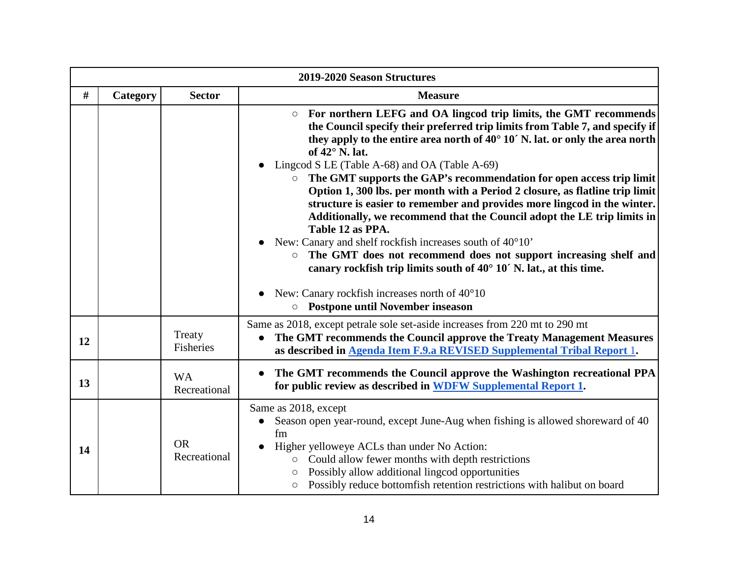|      |          |                           | 2019-2020 Season Structures                                                                                                                                                                                                                                                                                                                                                                                                                                                                                                                                                                                                                                                                                                                                                                                                                                                                                                                                                                                       |
|------|----------|---------------------------|-------------------------------------------------------------------------------------------------------------------------------------------------------------------------------------------------------------------------------------------------------------------------------------------------------------------------------------------------------------------------------------------------------------------------------------------------------------------------------------------------------------------------------------------------------------------------------------------------------------------------------------------------------------------------------------------------------------------------------------------------------------------------------------------------------------------------------------------------------------------------------------------------------------------------------------------------------------------------------------------------------------------|
| $\#$ | Category | <b>Sector</b>             | <b>Measure</b>                                                                                                                                                                                                                                                                                                                                                                                                                                                                                                                                                                                                                                                                                                                                                                                                                                                                                                                                                                                                    |
|      |          |                           | For northern LEFG and OA lingcod trip limits, the GMT recommends<br>$\circ$<br>the Council specify their preferred trip limits from Table 7, and specify if<br>they apply to the entire area north of $40^{\circ}$ 10' N. lat. or only the area north<br>of $42^{\circ}$ N. lat.<br>Lingcod S LE (Table A-68) and OA (Table A-69)<br>The GMT supports the GAP's recommendation for open access trip limit<br>$\circ$<br>Option 1, 300 lbs. per month with a Period 2 closure, as flatline trip limit<br>structure is easier to remember and provides more lingcod in the winter.<br>Additionally, we recommend that the Council adopt the LE trip limits in<br>Table 12 as PPA.<br>New: Canary and shelf rockfish increases south of 40°10'<br>The GMT does not recommend does not support increasing shelf and<br>$\circ$<br>canary rockfish trip limits south of $40^{\circ}$ 10' N. lat., at this time.<br>New: Canary rockfish increases north of 40°10<br><b>Postpone until November inseason</b><br>$\circ$ |
| 12   |          | Treaty<br>Fisheries       | Same as 2018, except petrale sole set-aside increases from 220 mt to 290 mt<br>The GMT recommends the Council approve the Treaty Management Measures<br>$\bullet$<br>as described in Agenda Item F.9.a REVISED Supplemental Tribal Report 1.                                                                                                                                                                                                                                                                                                                                                                                                                                                                                                                                                                                                                                                                                                                                                                      |
| 13   |          | <b>WA</b><br>Recreational | The GMT recommends the Council approve the Washington recreational PPA<br>for public review as described in WDFW Supplemental Report 1.                                                                                                                                                                                                                                                                                                                                                                                                                                                                                                                                                                                                                                                                                                                                                                                                                                                                           |
| 14   |          | <b>OR</b><br>Recreational | Same as 2018, except<br>Season open year-round, except June-Aug when fishing is allowed shoreward of 40<br>fm<br>Higher yelloweye ACLs than under No Action:<br>$\bullet$<br>Could allow fewer months with depth restrictions<br>$\circ$<br>Possibly allow additional lingcod opportunities<br>$\circ$<br>Possibly reduce bottomfish retention restrictions with halibut on board<br>O                                                                                                                                                                                                                                                                                                                                                                                                                                                                                                                                                                                                                            |